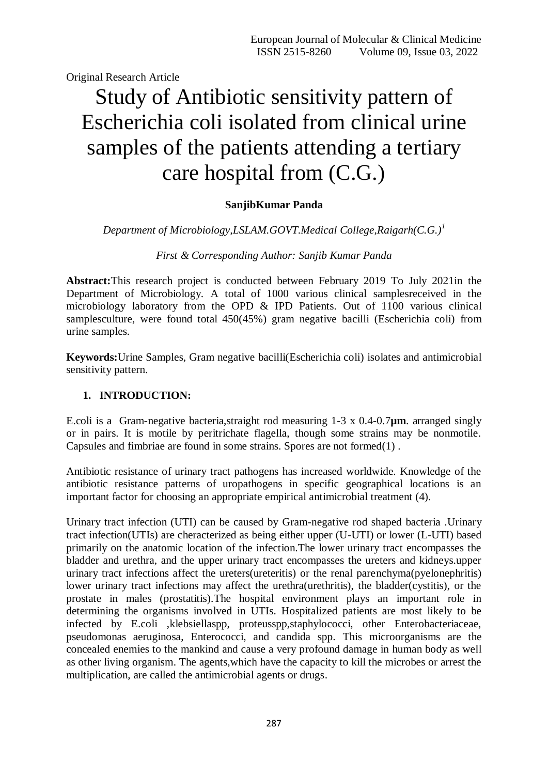Original Research Article

# Study of Antibiotic sensitivity pattern of Escherichia coli isolated from clinical urine samples of the patients attending a tertiary care hospital from (C.G.)

## **SanjibKumar Panda**

*Department of Microbiology,LSLAM.GOVT.Medical College,Raigarh(C.G.)<sup>1</sup>*

*First & Corresponding Author: Sanjib Kumar Panda*

**Abstract:**This research project is conducted between February 2019 To July 2021in the Department of Microbiology. A total of 1000 various clinical samplesreceived in the microbiology laboratory from the OPD & IPD Patients. Out of 1100 various clinical samplesculture, were found total 450(45%) gram negative bacilli (Escherichia coli) from urine samples.

**Keywords:**Urine Samples, Gram negative bacilli(Escherichia coli) isolates and antimicrobial sensitivity pattern.

## **1. INTRODUCTION:**

E.coli is a Gram-negative bacteria,straight rod measuring 1-3 x 0.4-0.7**µm**. arranged singly or in pairs. It is motile by peritrichate flagella, though some strains may be nonmotile. Capsules and fimbriae are found in some strains. Spores are not formed(1) .

Antibiotic resistance of urinary tract pathogens has increased worldwide. Knowledge of the antibiotic resistance patterns of uropathogens in specific geographical locations is an important factor for choosing an appropriate empirical antimicrobial treatment (4).

Urinary tract infection (UTI) can be caused by Gram-negative rod shaped bacteria .Urinary tract infection(UTIs) are cheracterized as being either upper (U-UTI) or lower (L-UTI) based primarily on the anatomic location of the infection.The lower urinary tract encompasses the bladder and urethra, and the upper urinary tract encompasses the ureters and kidneys.upper urinary tract infections affect the ureters(ureteritis) or the renal parenchyma(pyelonephritis) lower urinary tract infections may affect the urethra(urethritis), the bladder(cystitis), or the prostate in males (prostatitis).The hospital environment plays an important role in determining the organisms involved in UTIs. Hospitalized patients are most likely to be infected by E.coli ,klebsiellaspp, proteusspp,staphylococci, other Enterobacteriaceae, pseudomonas aeruginosa, Enterococci, and candida spp. This microorganisms are the concealed enemies to the mankind and cause a very profound damage in human body as well as other living organism. The agents,which have the capacity to kill the microbes or arrest the multiplication, are called the antimicrobial agents or drugs.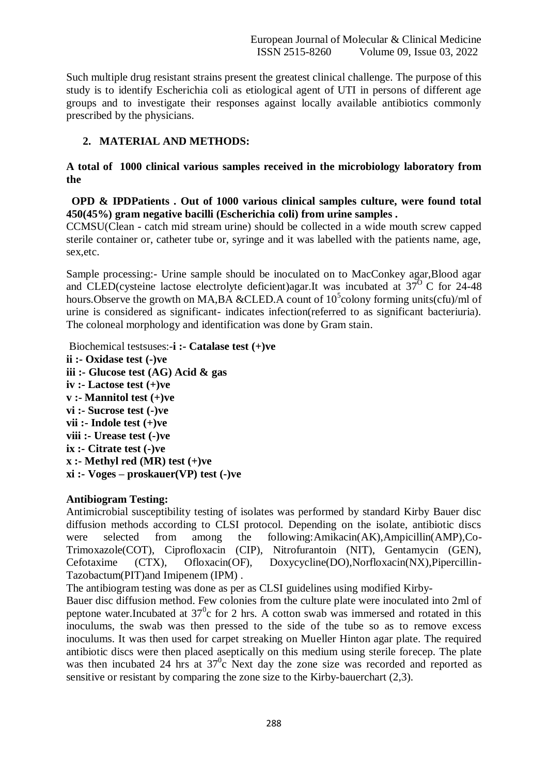Such multiple drug resistant strains present the greatest clinical challenge. The purpose of this study is to identify Escherichia coli as etiological agent of UTI in persons of different age groups and to investigate their responses against locally available antibiotics commonly prescribed by the physicians.

## **2. MATERIAL AND METHODS:**

**A total of 1000 clinical various samples received in the microbiology laboratory from the** 

 **OPD & IPDPatients . Out of 1000 various clinical samples culture, were found total 450(45%) gram negative bacilli (Escherichia coli) from urine samples .**

CCMSU(Clean - catch mid stream urine) should be collected in a wide mouth screw capped sterile container or, catheter tube or, syringe and it was labelled with the patients name, age, sex,etc.

Sample processing:- Urine sample should be inoculated on to MacConkey agar,Blood agar and CLED(cysteine lactose electrolyte deficient)agar.It was incubated at  $37^{\circ}$  C for 24-48 hours. Observe the growth on MA,BA & CLED. A count of  $10<sup>5</sup>$  colony forming units(cfu)/ml of urine is considered as significant- indicates infection(referred to as significant bacteriuria). The coloneal morphology and identification was done by Gram stain.

Biochemical testsuses:-**i :- Catalase test (+)ve ii :- Oxidase test (-)ve iii :- Glucose test (AG) Acid & gas iv :- Lactose test (+)ve v :- Mannitol test (+)ve vi :- Sucrose test (-)ve vii :- Indole test (+)ve viii :- Urease test (-)ve ix :- Citrate test (-)ve x :- Methyl red (MR) test (+)ve xi :- Voges – proskauer(VP) test (-)ve**

## **Antibiogram Testing:**

Antimicrobial susceptibility testing of isolates was performed by standard Kirby Bauer disc diffusion methods according to CLSI protocol. Depending on the isolate, antibiotic discs were selected from among the following:Amikacin(AK),Ampicillin(AMP),Co-Trimoxazole(COT), Ciprofloxacin (CIP), Nitrofurantoin (NIT), Gentamycin (GEN), Cefotaxime (CTX), Ofloxacin(OF), Doxycycline(DO),Norfloxacin(NX),Pipercillin-Tazobactum(PIT)and Imipenem (IPM) .

The antibiogram testing was done as per as CLSI guidelines using modified Kirby-

Bauer disc diffusion method. Few colonies from the culture plate were inoculated into 2ml of peptone water.Incubated at  $37^\circ$ c for 2 hrs. A cotton swab was immersed and rotated in this inoculums, the swab was then pressed to the side of the tube so as to remove excess inoculums. It was then used for carpet streaking on Mueller Hinton agar plate. The required antibiotic discs were then placed aseptically on this medium using sterile forecep. The plate was then incubated 24 hrs at 37<sup>0</sup>c Next day the zone size was recorded and reported as sensitive or resistant by comparing the zone size to the Kirby-bauerchart (2,3).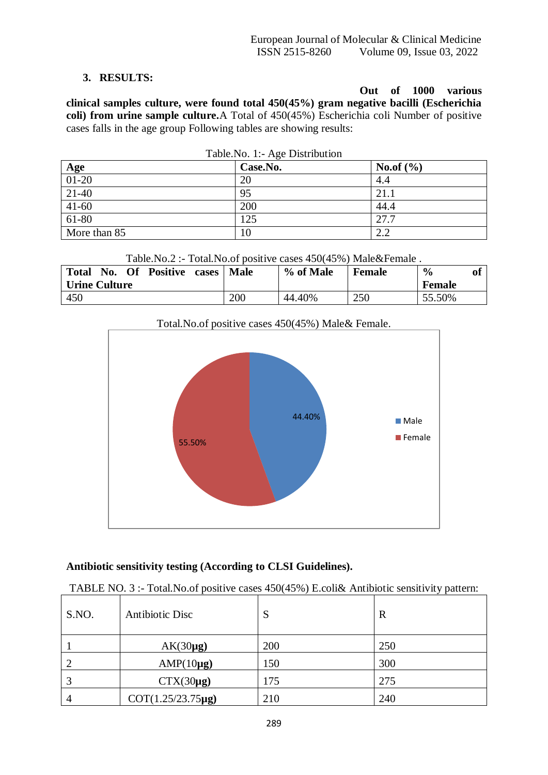## **3. RESULTS:**

**Out of 1000 various clinical samples culture, were found total 450(45%) gram negative bacilli (Escherichia coli) from urine sample culture.**A Total of 450(45%) Escherichia coli Number of positive cases falls in the age group Following tables are showing results:

|                           | 14010110111150221011011011<br>Case.No. | <b>No.of</b> $(\% )$ |
|---------------------------|----------------------------------------|----------------------|
| $\frac{Age}{01-20}$ 21-40 | 20                                     | 4.4                  |
|                           | 95                                     | 21.1                 |
| $41-60$                   | 200                                    | 44.4                 |
| $61-80$                   | 125                                    | 27.7                 |
| More than 85              | 10                                     | 2.2                  |

|  |  | Table. No. 1:- Age Distribution |
|--|--|---------------------------------|
|--|--|---------------------------------|

Table.No.2 :- Total.No.of positive cases 450(45%) Male&Female .

| <b>Total</b><br><b>Of</b><br>Positive cases<br>No. | <b>Male</b> | % of Male | Female | $\frac{6}{9}$<br>01 |
|----------------------------------------------------|-------------|-----------|--------|---------------------|
| <b>Urine Culture</b>                               |             |           |        | <b>Female</b>       |
| 450                                                | 200         | 44.40%    | 250    | 55.50%              |



## **Antibiotic sensitivity testing (According to CLSI Guidelines).**

## TABLE NO. 3 :- Total.No.of positive cases 450(45%) E.coli& Antibiotic sensitivity pattern:

| S.NO. | <b>Antibiotic Disc</b> | S   | $\mathbf R$ |
|-------|------------------------|-----|-------------|
|       | $AK(30\mu g)$          | 200 | 250         |
| 2     | $AMP(10\mu g)$         | 150 | 300         |
| 3     | $CTX(30\mu g)$         | 175 | 275         |
| 4     | COT(1.25/23.75µg)      | 210 | 240         |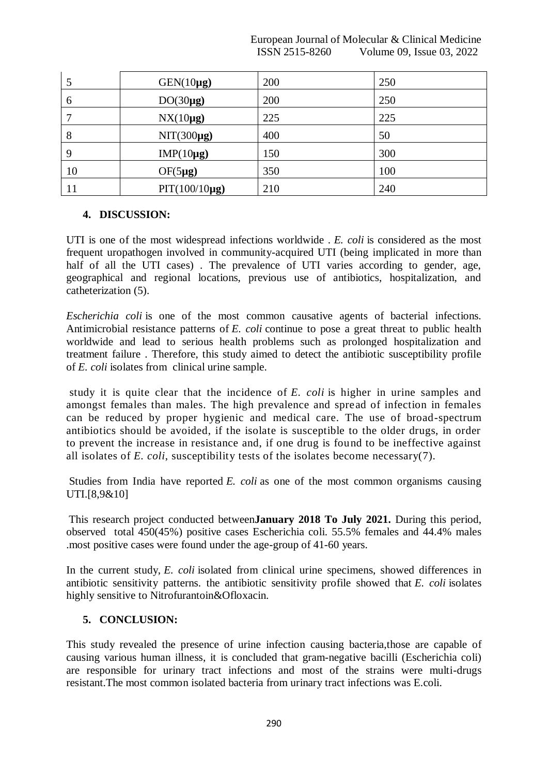|                | European Journal of Molecular & Clinical Medicine |
|----------------|---------------------------------------------------|
| ISSN 2515-8260 | Volume 09, Issue 03, 2022                         |

|    | $GEN(10\mu g)$     | 200 | 250 |
|----|--------------------|-----|-----|
| 6  | $DO(30\mu g)$      | 200 | 250 |
|    | $NX(10\mu g)$      | 225 | 225 |
| 8  | $NIT(300\mu g)$    | 400 | 50  |
| 9  | $IMP(10\mu g)$     | 150 | 300 |
| 10 | $OF(5\mu g)$       | 350 | 100 |
| 11 | $PIT(100/10\mu g)$ | 210 | 240 |

#### **4. DISCUSSION:**

UTI is one of the most widespread infections worldwide . *E. coli* is considered as the most frequent uropathogen involved in community-acquired UTI (being implicated in more than half of all the UTI cases). The prevalence of UTI varies according to gender, age, geographical and regional locations, previous use of antibiotics, hospitalization, and catheterization (5).

*Escherichia coli* is one of the most common causative agents of bacterial infections. Antimicrobial resistance patterns of *E. coli* continue to pose a great threat to public health worldwide and lead to serious health problems such as prolonged hospitalization and treatment failure . Therefore, this study aimed to detect the antibiotic susceptibility profile of *E. coli* isolates from clinical urine sample.

study it is quite clear that the incidence of *E. coli* is higher in urine samples and amongst females than males. The high prevalence and spread of infection in females can be reduced by proper hygienic and medical care. The use of broad-spectrum antibiotics should be avoided, if the isolate is susceptible to the older drugs, in order to prevent the increase in resistance and, if one drug is found to be ineffective against all isolates of *E. coli*, susceptibility tests of the isolates become necessary(7).

Studies from India have reported *E. coli* as one of the most common organisms causing UTI.[8,9&10]

This research project conducted between**January 2018 To July 2021.** During this period, observed total 450(45%) positive cases Escherichia coli. 55.5% females and 44.4% males .most positive cases were found under the age-group of 41-60 years.

In the current study, *E. coli* isolated from clinical urine specimens, showed differences in antibiotic sensitivity patterns. the antibiotic sensitivity profile showed that *E. coli* isolates highly sensitive to Nitrofurantoin&Ofloxacin.

## **5. CONCLUSION:**

This study revealed the presence of urine infection causing bacteria,those are capable of causing various human illness, it is concluded that gram-negative bacilli (Escherichia coli) are responsible for urinary tract infections and most of the strains were multi-drugs resistant.The most common isolated bacteria from urinary tract infections was E.coli.